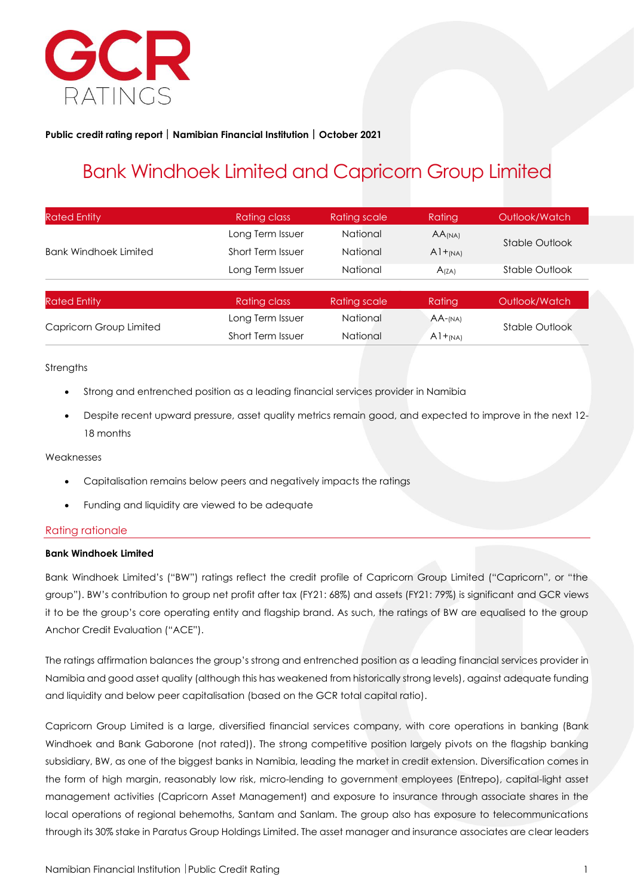

#### **Public credit rating report Namibian Financial Institution October 2021**

## Bank Windhoek Limited and Capricorn Group Limited

| <b>Rated Entity</b>          | Rating class             | Rating scale | Rating             | Outlook/Watch  |
|------------------------------|--------------------------|--------------|--------------------|----------------|
|                              | Long Term Issuer         | National     | AA <sub>(NA)</sub> |                |
| <b>Bank Windhoek Limited</b> | Short Term Issuer        | National     | $A1+_{(NA)}$       | Stable Outlook |
|                              | Long Term Issuer         | National     | A(ZA)              | Stable Outlook |
|                              |                          |              |                    |                |
| <b>Rated Entity</b>          | Rating class             | Rating scale | Rating             | Outlook/Watch  |
| Capricorn Group Limited      | Long Term Issuer         | National     | $AA$ -(NA)         | Stable Outlook |
|                              | <b>Short Term Issuer</b> | National     | $A1+_{(NA)}$       |                |

#### **Strengths**

- Strong and entrenched position as a leading financial services provider in Namibia
- Despite recent upward pressure, asset quality metrics remain good, and expected to improve in the next 12- 18 months

#### Weaknesses

- Capitalisation remains below peers and negatively impacts the ratings
- Funding and liquidity are viewed to be adequate

#### Rating rationale

#### **Bank Windhoek Limited**

Bank Windhoek Limited's ("BW") ratings reflect the credit profile of Capricorn Group Limited ("Capricorn", or "the group"). BW's contribution to group net profit after tax (FY21: 68%) and assets (FY21: 79%) is significant and GCR views it to be the group's core operating entity and flagship brand. As such, the ratings of BW are equalised to the group Anchor Credit Evaluation ("ACE").

The ratings affirmation balances the group's strong and entrenched position as a leading financial services provider in Namibia and good asset quality (although this has weakened from historically strong levels), against adequate funding and liquidity and below peer capitalisation (based on the GCR total capital ratio).

Capricorn Group Limited is a large, diversified financial services company, with core operations in banking (Bank Windhoek and Bank Gaborone (not rated)). The strong competitive position largely pivots on the flagship banking subsidiary, BW, as one of the biggest banks in Namibia, leading the market in credit extension. Diversification comes in the form of high margin, reasonably low risk, micro-lending to government employees (Entrepo), capital-light asset management activities (Capricorn Asset Management) and exposure to insurance through associate shares in the local operations of regional behemoths, Santam and Sanlam. The group also has exposure to telecommunications through its 30% stake in Paratus Group Holdings Limited. The asset manager and insurance associates are clear leaders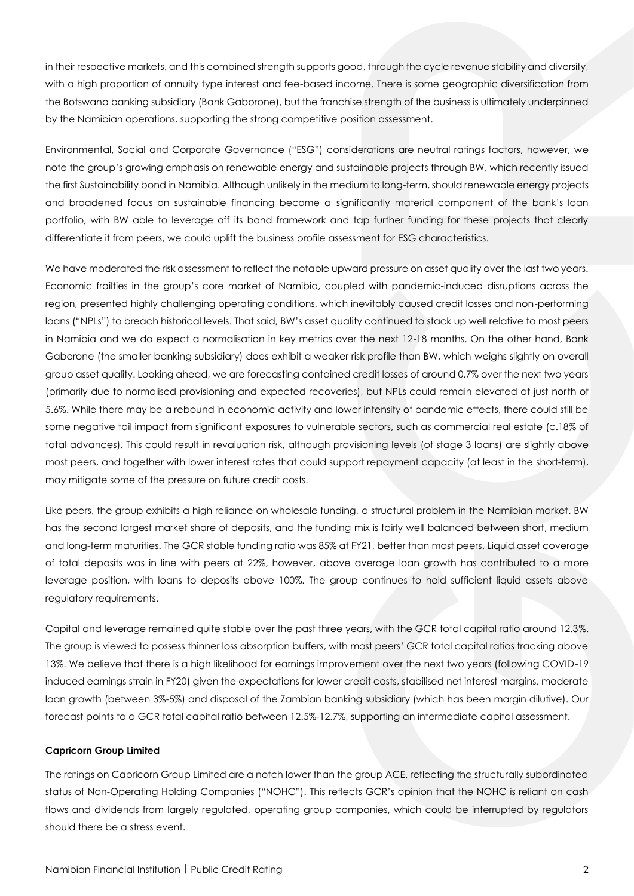in their respective markets, and this combined strength supports good, through the cycle revenue stability and diversity, with a high proportion of annuity type interest and fee-based income. There is some geographic diversification from the Botswana banking subsidiary (Bank Gaborone), but the franchise strength of the business is ultimately underpinned by the Namibian operations, supporting the strong competitive position assessment.

Environmental, Social and Corporate Governance ("ESG") considerations are neutral ratings factors, however, we note the group's growing emphasis on renewable energy and sustainable projects through BW, which recently issued the first Sustainability bond in Namibia. Although unlikely in the medium to long-term, should renewable energy projects and broadened focus on sustainable financing become a significantly material component of the bank's loan portfolio, with BW able to leverage off its bond framework and tap further funding for these projects that clearly differentiate it from peers, we could uplift the business profile assessment for ESG characteristics.

We have moderated the risk assessment to reflect the notable upward pressure on asset quality over the last two years. Economic frailties in the group's core market of Namibia, coupled with pandemic-induced disruptions across the region, presented highly challenging operating conditions, which inevitably caused credit losses and non-performing loans ("NPLs") to breach historical levels. That said, BW's asset quality continued to stack up well relative to most peers in Namibia and we do expect a normalisation in key metrics over the next 12-18 months. On the other hand, Bank Gaborone (the smaller banking subsidiary) does exhibit a weaker risk profile than BW, which weighs slightly on overall group asset quality. Looking ahead, we are forecasting contained credit losses of around 0.7% over the next two years (primarily due to normalised provisioning and expected recoveries), but NPLs could remain elevated at just north of 5.6%. While there may be a rebound in economic activity and lower intensity of pandemic effects, there could still be some negative tail impact from significant exposures to vulnerable sectors, such as commercial real estate (c.18% of total advances). This could result in revaluation risk, although provisioning levels (of stage 3 loans) are slightly above most peers, and together with lower interest rates that could support repayment capacity (at least in the short-term), may mitigate some of the pressure on future credit costs.

Like peers, the group exhibits a high reliance on wholesale funding, a structural problem in the Namibian market. BW has the second largest market share of deposits, and the funding mix is fairly well balanced between short, medium and long-term maturities. The GCR stable funding ratio was 85% at FY21, better than most peers. Liquid asset coverage of total deposits was in line with peers at 22%, however, above average loan growth has contributed to a more leverage position, with loans to deposits above 100%. The group continues to hold sufficient liquid assets above regulatory requirements.

Capital and leverage remained quite stable over the past three years, with the GCR total capital ratio around 12.3%. The group is viewed to possess thinner loss absorption buffers, with most peers' GCR total capital ratios tracking above 13%. We believe that there is a high likelihood for earnings improvement over the next two years (following COVID-19 induced earnings strain in FY20) given the expectations for lower credit costs, stabilised net interest margins, moderate loan growth (between 3%-5%) and disposal of the Zambian banking subsidiary (which has been margin dilutive). Our forecast points to a GCR total capital ratio between 12.5%-12.7%, supporting an intermediate capital assessment.

#### **Capricorn Group Limited**

The ratings on Capricorn Group Limited are a notch lower than the group ACE, reflecting the structurally subordinated status of Non-Operating Holding Companies ("NOHC"). This reflects GCR's opinion that the NOHC is reliant on cash flows and dividends from largely regulated, operating group companies, which could be interrupted by regulators should there be a stress event.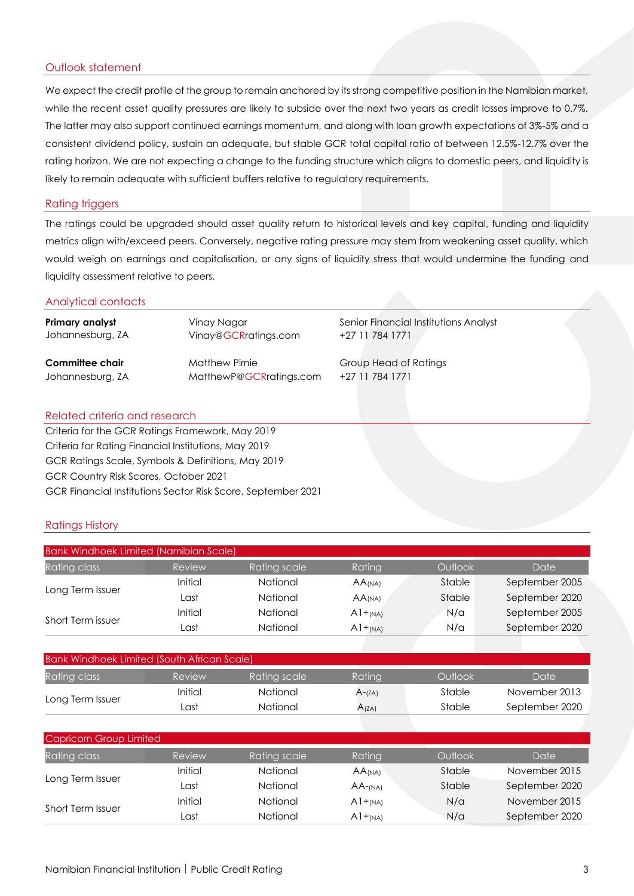#### Outlook statement

We expect the credit profile of the group to remain anchored by its strong competitive position in the Namibian market, while the recent asset quality pressures are likely to subside over the next two years as credit losses improve to 0.7%. The latter may also support continued earnings momentum, and along with loan growth expectations of 3%-5% and a consistent dividend policy, sustain an adequate, but stable GCR total capital ratio of between 12.5%-12.7% over the rating horizon. We are not expecting a change to the funding structure which aligns to domestic peers, and liquidity is likely to remain adequate with sufficient buffers relative to regulatory requirements.

#### Rating triggers

The ratings could be upgraded should asset quality return to historical levels and key capital, funding and liquidity metrics align with/exceed peers. Conversely, negative rating pressure may stem from weakening asset quality, which would weigh on earnings and capitalisation, or any signs of liquidity stress that would undermine the funding and liquidity assessment relative to peers.

#### Analytical contacts

| Primary analyst  | Vinay Nagar             | Senior Financial Institutions Analyst |
|------------------|-------------------------|---------------------------------------|
| Johannesburg, ZA | Vinay@GCRratings.com    | +27 11 784 1771                       |
| Committee chair  | <b>Matthew Pirnie</b>   | <b>Group Head of Ratings</b>          |
| Johannesburg, ZA | MatthewP@GCRratings.com | +27 11 784 1771                       |

#### Related criteria and research

Criteria for the GCR Ratings Framework, May 2019 Criteria for Rating Financial Institutions, May 2019 GCR Ratings Scale, Symbols & Definitions, May 2019 GCR Country Risk Scores, October 2021 GCR Financial Institutions Sector Risk Score, September 2021

#### Ratings History

|                   | <b>Bank Windhoek Limited (Namibian Scale)</b> |              |                      |         |                |  |
|-------------------|-----------------------------------------------|--------------|----------------------|---------|----------------|--|
| Rating class      | Review                                        | Rating scale | Rating               | Outlook | Date           |  |
| Long Term Issuer  | Initial                                       | National     | $AA$ <sub>(NA)</sub> | Stable  | September 2005 |  |
|                   | Last                                          | National     | $AA$ <sub>(NA)</sub> | Stable  | September 2020 |  |
|                   | Initial                                       | National     | $A1+_{(NA)}$         | N/a     | September 2005 |  |
| Short Term issuer | Last                                          | National     | $A1+_{(NA)}$         | N/a     | September 2020 |  |

| Bank Windhoek Limited (South African Scale) |         |              |           |         |                |  |
|---------------------------------------------|---------|--------------|-----------|---------|----------------|--|
| <b>Rating class</b>                         | Review  | Rating scale | Ratina    | Outlook | Date           |  |
|                                             | Initial | National     | $A$ -(ZA) | Stable  | November 2013  |  |
| Long Term Issuer                            | Last    | National     | A(ZA)     | Stable  | September 2020 |  |

| Capricorn Group Limited |         |              |                      |         |                |
|-------------------------|---------|--------------|----------------------|---------|----------------|
| Rating class            | Review  | Rating scale | Rating               | Outlook | Date           |
| Long Term Issuer        | Initial | National     | $AA$ <sub>(NA)</sub> | Stable  | November 2015  |
|                         | Last    | National     | $AA$ -(NA)           | Stable  | September 2020 |
| Short Term Issuer       | Initial | National     | $A1+_{(NA)}$         | N/a     | November 2015  |
|                         | Last    | National     | $A1+_{(NA)}$         | N/a     | September 2020 |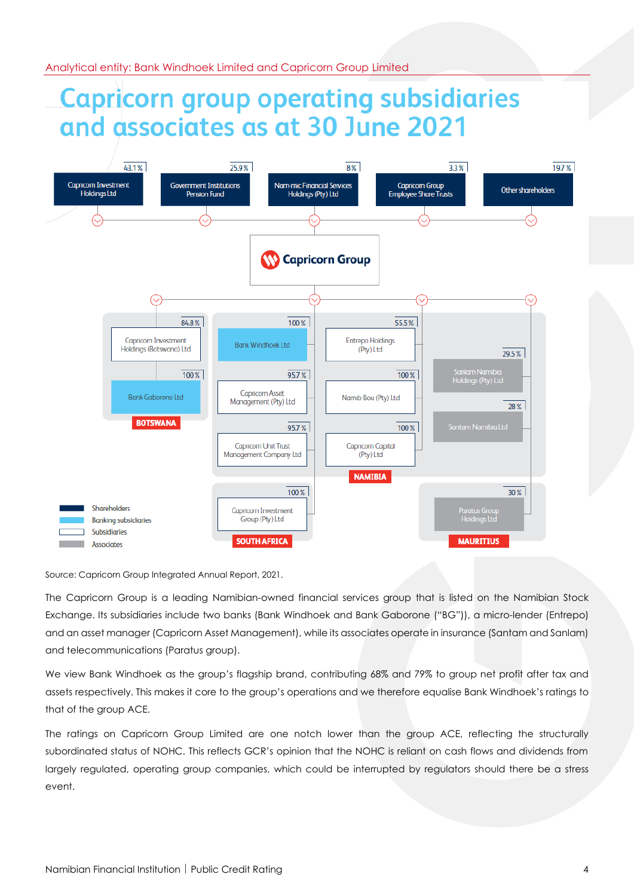# **Capricorn group operating subsidiaries** and associates as at 30 June 2021



Source: Capricorn Group Integrated Annual Report, 2021.

The Capricorn Group is a leading Namibian-owned financial services group that is listed on the Namibian Stock Exchange. Its subsidiaries include two banks (Bank Windhoek and Bank Gaborone ("BG")), a micro-lender (Entrepo) and an asset manager (Capricorn Asset Management), while its associates operate in insurance (Santam and Sanlam) and telecommunications (Paratus group).

We view Bank Windhoek as the group's flagship brand, contributing 68% and 79% to group net profit after tax and assets respectively. This makes it core to the group's operations and we therefore equalise Bank Windhoek's ratings to that of the group ACE.

The ratings on Capricorn Group Limited are one notch lower than the group ACE, reflecting the structurally subordinated status of NOHC. This reflects GCR's opinion that the NOHC is reliant on cash flows and dividends from largely regulated, operating group companies, which could be interrupted by regulators should there be a stress event.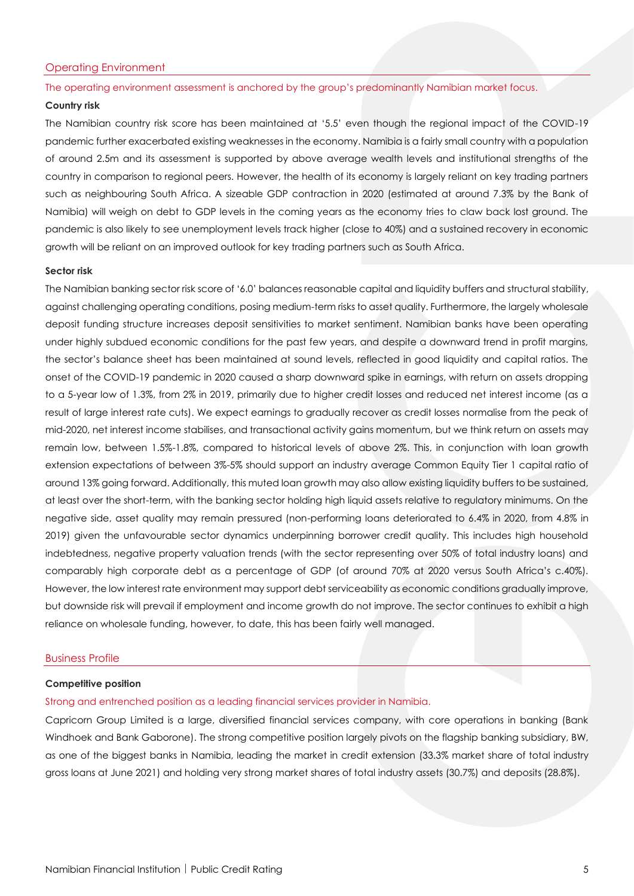#### Operating Environment

#### The operating environment assessment is anchored by the group's predominantly Namibian market focus.

#### **Country risk**

The Namibian country risk score has been maintained at '5.5' even though the regional impact of the COVID-19 pandemic further exacerbated existing weaknesses in the economy. Namibia is a fairly small country with a population of around 2.5m and its assessment is supported by above average wealth levels and institutional strengths of the country in comparison to regional peers. However, the health of its economy is largely reliant on key trading partners such as neighbouring South Africa. A sizeable GDP contraction in 2020 (estimated at around 7.3% by the Bank of Namibia) will weigh on debt to GDP levels in the coming years as the economy tries to claw back lost ground. The pandemic is also likely to see unemployment levels track higher (close to 40%) and a sustained recovery in economic growth will be reliant on an improved outlook for key trading partners such as South Africa.

#### **Sector risk**

The Namibian banking sector risk score of '6.0' balances reasonable capital and liquidity buffers and structural stability, against challenging operating conditions, posing medium-term risks to asset quality. Furthermore, the largely wholesale deposit funding structure increases deposit sensitivities to market sentiment. Namibian banks have been operating under highly subdued economic conditions for the past few years, and despite a downward trend in profit margins, the sector's balance sheet has been maintained at sound levels, reflected in good liquidity and capital ratios. The onset of the COVID-19 pandemic in 2020 caused a sharp downward spike in earnings, with return on assets dropping to a 5-year low of 1.3%, from 2% in 2019, primarily due to higher credit losses and reduced net interest income (as a result of large interest rate cuts). We expect earnings to gradually recover as credit losses normalise from the peak of mid-2020, net interest income stabilises, and transactional activity gains momentum, but we think return on assets may remain low, between 1.5%-1.8%, compared to historical levels of above 2%. This, in conjunction with loan growth extension expectations of between 3%-5% should support an industry average Common Equity Tier 1 capital ratio of around 13% going forward. Additionally, this muted loan growth may also allow existing liquidity buffers to be sustained, at least over the short-term, with the banking sector holding high liquid assets relative to regulatory minimums. On the negative side, asset quality may remain pressured (non-performing loans deteriorated to 6.4% in 2020, from 4.8% in 2019) given the unfavourable sector dynamics underpinning borrower credit quality. This includes high household indebtedness, negative property valuation trends (with the sector representing over 50% of total industry loans) and comparably high corporate debt as a percentage of GDP (of around 70% at 2020 versus South Africa's c.40%). However, the low interest rate environment may support debt serviceability as economic conditions gradually improve, but downside risk will prevail if employment and income growth do not improve. The sector continues to exhibit a high reliance on wholesale funding, however, to date, this has been fairly well managed.

#### Business Profile

#### **Competitive position**

#### Strong and entrenched position as a leading financial services provider in Namibia.

Capricorn Group Limited is a large, diversified financial services company, with core operations in banking (Bank Windhoek and Bank Gaborone). The strong competitive position largely pivots on the flagship banking subsidiary, BW, as one of the biggest banks in Namibia, leading the market in credit extension (33.3% market share of total industry gross loans at June 2021) and holding very strong market shares of total industry assets (30.7%) and deposits (28.8%).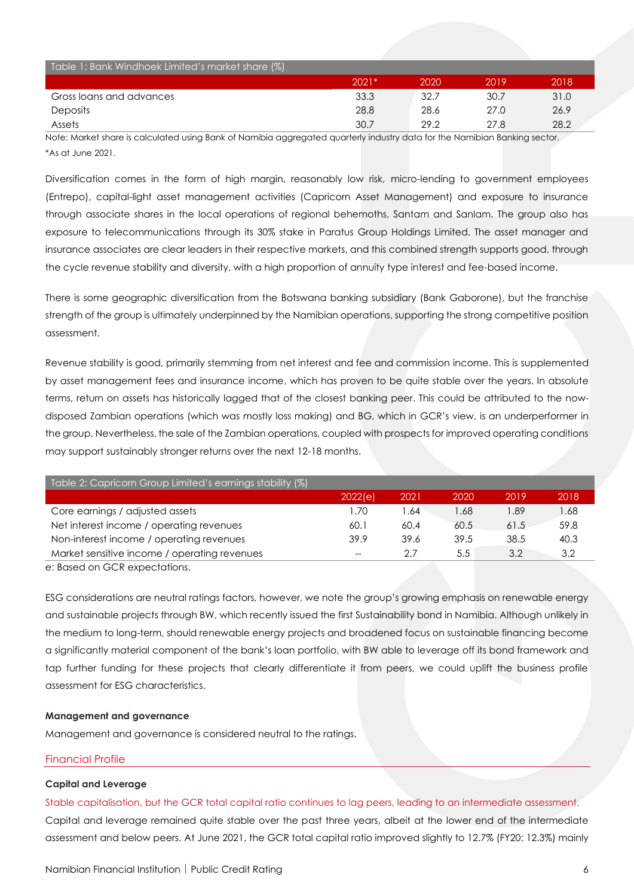| Table 1: Bank Windhoek Limited's market share (%) |         |      |      |      |
|---------------------------------------------------|---------|------|------|------|
|                                                   | $2021*$ | 2020 | 2019 | 2018 |
| Gross loans and advances                          | 33.3    | 32.7 | 30.7 | 31.0 |
| Deposits                                          | 28.8    | 28.6 | 27.0 | 26.9 |
| Assets                                            | 30.7    | 29.2 | 27.8 | 28.2 |

Note: Market share is calculated using Bank of Namibia aggregated quarterly industry data for the Namibian Banking sector. \*As at June 2021.

Diversification comes in the form of high margin, reasonably low risk, micro-lending to government employees (Entrepo), capital-light asset management activities (Capricorn Asset Management) and exposure to insurance through associate shares in the local operations of regional behemoths, Santam and Sanlam. The group also has exposure to telecommunications through its 30% stake in Paratus Group Holdings Limited. The asset manager and insurance associates are clear leaders in their respective markets, and this combined strength supports good, through the cycle revenue stability and diversity, with a high proportion of annuity type interest and fee-based income.

There is some geographic diversification from the Botswana banking subsidiary (Bank Gaborone), but the franchise strength of the group is ultimately underpinned by the Namibian operations, supporting the strong competitive position assessment.

Revenue stability is good, primarily stemming from net interest and fee and commission income. This is supplemented by asset management fees and insurance income, which has proven to be quite stable over the years. In absolute terms, return on assets has historically lagged that of the closest banking peer. This could be attributed to the nowdisposed Zambian operations (which was mostly loss making) and BG, which in GCR's view, is an underperformer in the group. Nevertheless, the sale of the Zambian operations, coupled with prospects for improved operating conditions may support sustainably stronger returns over the next 12-18 months.

| Table 2: Capricorn Group Limited's earnings stability (%) |         |       |      |      |      |
|-----------------------------------------------------------|---------|-------|------|------|------|
|                                                           | 2022(e) | 2021  | 2020 | 2019 | 2018 |
| Core earnings / adjusted assets                           | 1.70    | 64. ا | .68  | 1.89 | 1.68 |
| Net interest income / operating revenues                  | 60.1    | 60.4  | 60.5 | 61.5 | 59.8 |
| Non-interest income / operating revenues                  | 39.9    | 39.6  | 39.5 | 38.5 | 40.3 |
| Market sensitive income / operating revenues              | $-$     | 2.7   | 5.5  | 3.2  | 3.2  |
| e: Rased on CCP expectations                              |         |       |      |      |      |

e: Based on GCR expectations.

ESG considerations are neutral ratings factors, however, we note the group's growing emphasis on renewable energy and sustainable projects through BW, which recently issued the first Sustainability bond in Namibia. Although unlikely in the medium to long-term, should renewable energy projects and broadened focus on sustainable financing become a significantly material component of the bank's loan portfolio, with BW able to leverage off its bond framework and tap further funding for these projects that clearly differentiate it from peers, we could uplift the business profile assessment for ESG characteristics.

#### **Management and governance**

Management and governance is considered neutral to the ratings.

#### Financial Profile

#### **Capital and Leverage**

Stable capitalisation, but the GCR total capital ratio continues to lag peers, leading to an intermediate assessment. Capital and leverage remained quite stable over the past three years, albeit at the lower end of the intermediate assessment and below peers. At June 2021, the GCR total capital ratio improved slightly to 12.7% (FY20: 12.3%) mainly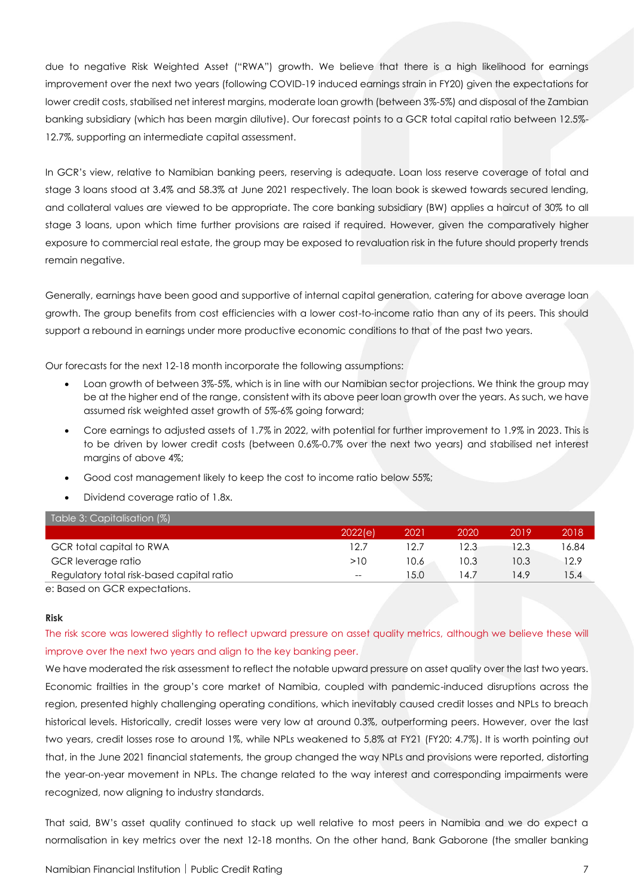due to negative Risk Weighted Asset ("RWA") growth. We believe that there is a high likelihood for earnings improvement over the next two years (following COVID-19 induced earnings strain in FY20) given the expectations for lower credit costs, stabilised net interest margins, moderate loan growth (between 3%-5%) and disposal of the Zambian banking subsidiary (which has been margin dilutive). Our forecast points to a GCR total capital ratio between 12.5%- 12.7%, supporting an intermediate capital assessment.

In GCR's view, relative to Namibian banking peers, reserving is adequate. Loan loss reserve coverage of total and stage 3 loans stood at 3.4% and 58.3% at June 2021 respectively. The loan book is skewed towards secured lending, and collateral values are viewed to be appropriate. The core banking subsidiary (BW) applies a haircut of 30% to all stage 3 loans, upon which time further provisions are raised if required. However, given the comparatively higher exposure to commercial real estate, the group may be exposed to revaluation risk in the future should property trends remain negative.

Generally, earnings have been good and supportive of internal capital generation, catering for above average loan growth. The group benefits from cost efficiencies with a lower cost-to-income ratio than any of its peers. This should support a rebound in earnings under more productive economic conditions to that of the past two years.

Our forecasts for the next 12-18 month incorporate the following assumptions:

- Loan growth of between 3%-5%, which is in line with our Namibian sector projections. We think the group may be at the higher end of the range, consistent with its above peer loan growth over the years. As such, we have assumed risk weighted asset growth of 5%-6% going forward;
- Core earnings to adjusted assets of 1.7% in 2022, with potential for further improvement to 1.9% in 2023. This is to be driven by lower credit costs (between 0.6%-0.7% over the next two years) and stabilised net interest margins of above 4%;
- Good cost management likely to keep the cost to income ratio below 55%;
- Dividend coverage ratio of 1.8x.

| Table 3: Capitalisation (%)               |         |      |      |      |       |
|-------------------------------------------|---------|------|------|------|-------|
|                                           | 2022(e) | 2021 | 2020 | 2019 | 2018  |
| GCR total capital to RWA                  | 12.7    | 12.7 | 12.3 | 12.3 | 16.84 |
| GCR leverage ratio                        | >10     | 10.6 | 10.3 | 10.3 | 12.9  |
| Regulatory total risk-based capital ratio | $- -$   | 15.0 | 14.7 | 14.9 | 15.4  |
| e: Based on GCR expectations.             |         |      |      |      |       |

#### **Risk**

The risk score was lowered slightly to reflect upward pressure on asset quality metrics, although we believe these will improve over the next two years and align to the key banking peer.

We have moderated the risk assessment to reflect the notable upward pressure on asset quality over the last two years. Economic frailties in the group's core market of Namibia, coupled with pandemic-induced disruptions across the region, presented highly challenging operating conditions, which inevitably caused credit losses and NPLs to breach historical levels. Historically, credit losses were very low at around 0.3%, outperforming peers. However, over the last two years, credit losses rose to around 1%, while NPLs weakened to 5.8% at FY21 (FY20: 4.7%). It is worth pointing out that, in the June 2021 financial statements, the group changed the way NPLs and provisions were reported, distorting the year-on-year movement in NPLs. The change related to the way interest and corresponding impairments were recognized, now aligning to industry standards.

That said, BW's asset quality continued to stack up well relative to most peers in Namibia and we do expect a normalisation in key metrics over the next 12-18 months. On the other hand, Bank Gaborone (the smaller banking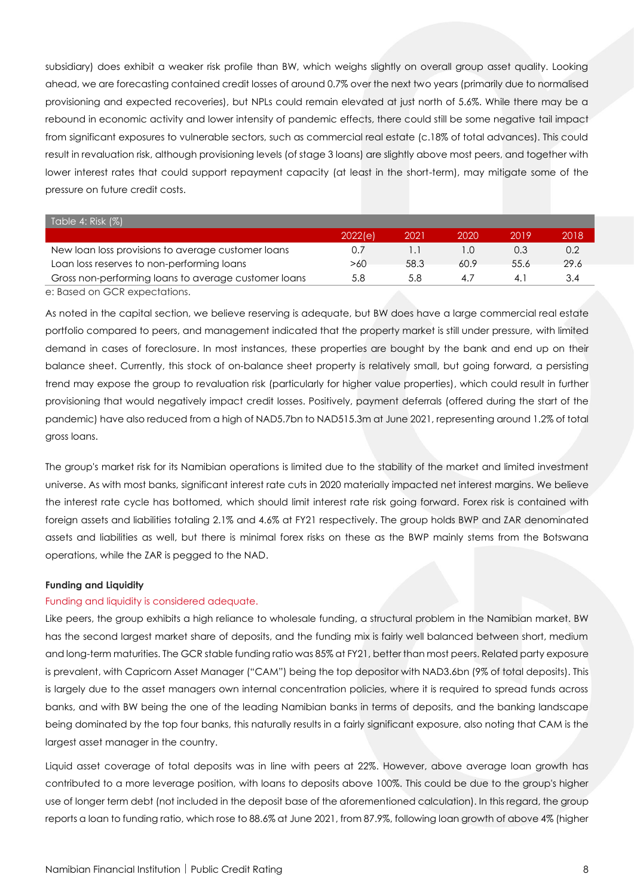subsidiary) does exhibit a weaker risk profile than BW, which weighs slightly on overall group asset quality. Looking ahead, we are forecasting contained credit losses of around 0.7% over the next two years (primarily due to normalised provisioning and expected recoveries), but NPLs could remain elevated at just north of 5.6%. While there may be a rebound in economic activity and lower intensity of pandemic effects, there could still be some negative tail impact from significant exposures to vulnerable sectors, such as commercial real estate (c.18% of total advances). This could result in revaluation risk, although provisioning levels (of stage 3 loans) are slightly above most peers, and together with lower interest rates that could support repayment capacity (at least in the short-term), may mitigate some of the pressure on future credit costs.

| Table 4: Risk $(\%)$                                 |         |      |      |      |      |
|------------------------------------------------------|---------|------|------|------|------|
|                                                      | 2022(e) | 2021 | 2020 | 2019 | 2018 |
| New loan loss provisions to average customer loans   |         |      |      | 0.3  | 0.2  |
| Loan loss reserves to non-performing loans           | >60     | 58.3 | 60.9 | 55.6 | 29.6 |
| Gross non-performing loans to average customer loans | 5.8     | 5.8  | 47   |      | 3.4  |
| e: Based on GCR expectations.                        |         |      |      |      |      |

As noted in the capital section, we believe reserving is adequate, but BW does have a large commercial real estate portfolio compared to peers, and management indicated that the property market is still under pressure, with limited demand in cases of foreclosure. In most instances, these properties are bought by the bank and end up on their balance sheet. Currently, this stock of on-balance sheet property is relatively small, but going forward, a persisting trend may expose the group to revaluation risk (particularly for higher value properties), which could result in further provisioning that would negatively impact credit losses. Positively, payment deferrals (offered during the start of the pandemic) have also reduced from a high of NAD5.7bn to NAD515.3m at June 2021, representing around 1.2% of total gross loans.

The group's market risk for its Namibian operations is limited due to the stability of the market and limited investment universe. As with most banks, significant interest rate cuts in 2020 materially impacted net interest margins. We believe the interest rate cycle has bottomed, which should limit interest rate risk going forward. Forex risk is contained with foreign assets and liabilities totaling 2.1% and 4.6% at FY21 respectively. The group holds BWP and ZAR denominated assets and liabilities as well, but there is minimal forex risks on these as the BWP mainly stems from the Botswana operations, while the ZAR is pegged to the NAD.

#### **Funding and Liquidity**

#### Funding and liquidity is considered adequate.

Like peers, the group exhibits a high reliance to wholesale funding, a structural problem in the Namibian market. BW has the second largest market share of deposits, and the funding mix is fairly well balanced between short, medium and long-term maturities. The GCR stable funding ratio was 85% at FY21, better than most peers. Related party exposure is prevalent, with Capricorn Asset Manager ("CAM") being the top depositor with NAD3.6bn (9% of total deposits). This is largely due to the asset managers own internal concentration policies, where it is required to spread funds across banks, and with BW being the one of the leading Namibian banks in terms of deposits, and the banking landscape being dominated by the top four banks, this naturally results in a fairly significant exposure, also noting that CAM is the largest asset manager in the country.

Liquid asset coverage of total deposits was in line with peers at 22%. However, above average loan growth has contributed to a more leverage position, with loans to deposits above 100%. This could be due to the group's higher use of longer term debt (not included in the deposit base of the aforementioned calculation). In this regard, the group reports a loan to funding ratio, which rose to 88.6% at June 2021, from 87.9%, following loan growth of above 4% (higher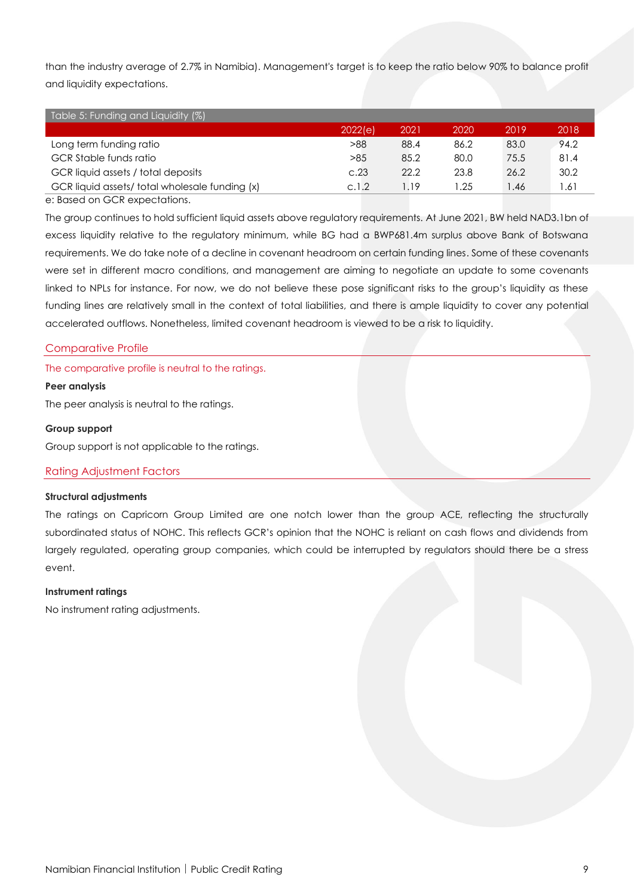than the industry average of 2.7% in Namibia). Management's target is to keep the ratio below 90% to balance profit and liquidity expectations.

| Table 5: Funding and Liquidity (%)            |         |      |      |       |      |
|-----------------------------------------------|---------|------|------|-------|------|
|                                               | 2022(e) | 2021 | 2020 | 2019  | 2018 |
| Long term funding ratio                       | >88     | 88.4 | 86.2 | 83.0  | 94.2 |
| <b>GCR</b> Stable funds ratio                 | >85     | 85.2 | 80.0 | 75.5  | 81.4 |
| GCR liquid assets / total deposits            | C.23    | 22.2 | 23.8 | 26.2  | 30.2 |
| GCR liquid assets/total wholesale funding (x) | c.1.2   | 1.19 | .25  | 46. ا | .61  |

e: Based on GCR expectations.

The group continues to hold sufficient liquid assets above regulatory requirements. At June 2021, BW held NAD3.1bn of excess liquidity relative to the regulatory minimum, while BG had a BWP681.4m surplus above Bank of Botswana requirements. We do take note of a decline in covenant headroom on certain funding lines. Some of these covenants were set in different macro conditions, and management are aiming to negotiate an update to some covenants linked to NPLs for instance. For now, we do not believe these pose significant risks to the group's liquidity as these funding lines are relatively small in the context of total liabilities, and there is ample liquidity to cover any potential accelerated outflows. Nonetheless, limited covenant headroom is viewed to be a risk to liquidity.

#### Comparative Profile

The comparative profile is neutral to the ratings.

#### **Peer analysis**

The peer analysis is neutral to the ratings.

#### **Group support**

Group support is not applicable to the ratings.

#### Rating Adjustment Factors

#### **Structural adjustments**

The ratings on Capricorn Group Limited are one notch lower than the group ACE, reflecting the structurally subordinated status of NOHC. This reflects GCR's opinion that the NOHC is reliant on cash flows and dividends from largely regulated, operating group companies, which could be interrupted by regulators should there be a stress event.

#### **Instrument ratings**

No instrument rating adjustments.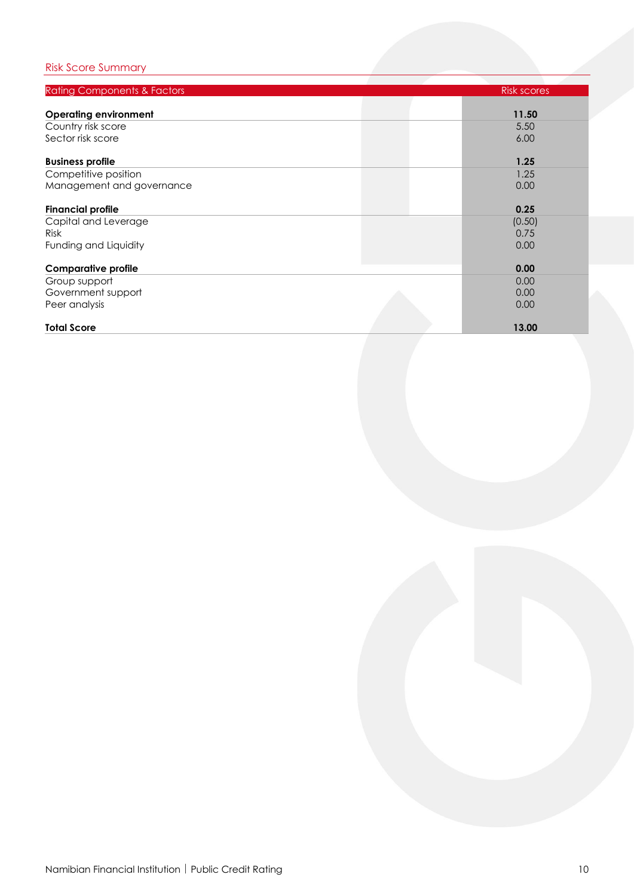### Risk Score Summary

| <b>Rating Components &amp; Factors</b> | <b>Risk scores</b> |
|----------------------------------------|--------------------|
|                                        |                    |
| <b>Operating environment</b>           | 11.50              |
| Country risk score                     | 5.50               |
| Sector risk score                      | 6.00               |
| <b>Business profile</b>                | 1.25               |
| Competitive position                   | 1.25               |
| Management and governance              | 0.00               |
| <b>Financial profile</b>               | 0.25               |
| Capital and Leverage                   | (0.50)             |
| <b>Risk</b>                            | 0.75               |
| Funding and Liquidity                  | 0.00               |
| <b>Comparative profile</b>             | 0.00               |
| Group support                          | 0.00               |
| Government support                     | 0.00               |
| Peer analysis                          | 0.00               |
| <b>Total Score</b>                     | 13.00              |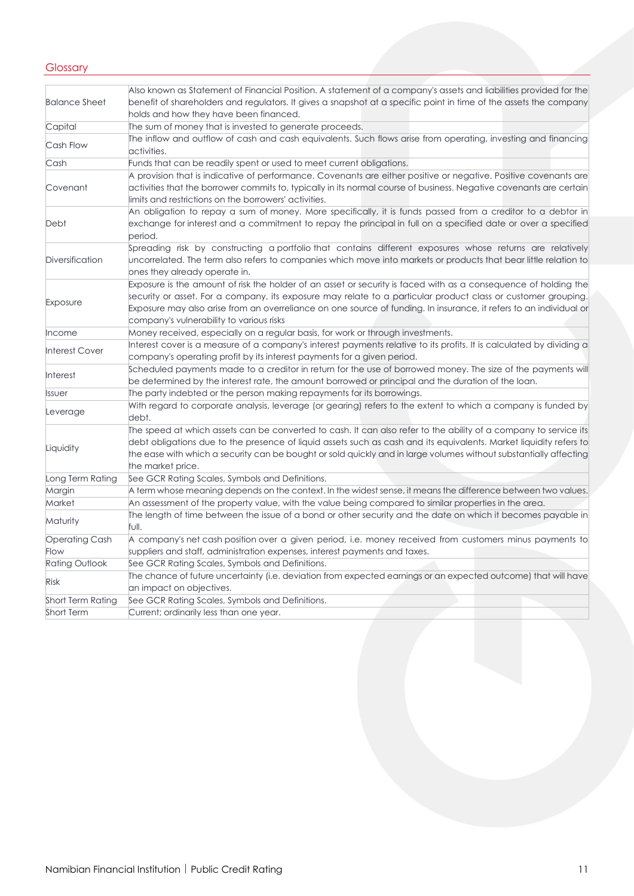#### **Glossary**

|                          | Also known as Statement of Financial Position. A statement of a company's assets and liabilities provided for the                                                                                                                                                                                                                                                                                  |
|--------------------------|----------------------------------------------------------------------------------------------------------------------------------------------------------------------------------------------------------------------------------------------------------------------------------------------------------------------------------------------------------------------------------------------------|
| <b>Balance Sheet</b>     | benefit of shareholders and regulators. It gives a snapshot at a specific point in time of the assets the company                                                                                                                                                                                                                                                                                  |
|                          | holds and how they have been financed.                                                                                                                                                                                                                                                                                                                                                             |
| Capital                  | The sum of money that is invested to generate proceeds.                                                                                                                                                                                                                                                                                                                                            |
| Cash Flow                | The inflow and outflow of cash and cash equivalents. Such flows arise from operating, investing and financing<br>activities.                                                                                                                                                                                                                                                                       |
| Cash                     | Funds that can be readily spent or used to meet current obligations.                                                                                                                                                                                                                                                                                                                               |
| Covenant                 | A provision that is indicative of performance. Covenants are either positive or negative. Positive covenants are<br>activities that the borrower commits to, typically in its normal course of business. Negative covenants are certain<br>limits and restrictions on the borrowers' activities.                                                                                                   |
| Debt                     | An obligation to repay a sum of money. More specifically, it is funds passed from a creditor to a debtor in<br>exchange for interest and a commitment to repay the principal in full on a specified date or over a specified<br>period.                                                                                                                                                            |
| Diversification          | Spreading risk by constructing a portfolio that contains different exposures whose returns are relatively<br>uncorrelated. The term also refers to companies which move into markets or products that bear little relation to<br>ones they already operate in.                                                                                                                                     |
| Exposure                 | Exposure is the amount of risk the holder of an asset or security is faced with as a consequence of holding the<br>security or asset. For a company, its exposure may relate to a particular product class or customer grouping.<br>Exposure may also arise from an overreliance on one source of funding. In insurance, it refers to an individual or<br>company's vulnerability to various risks |
| Income                   | Money received, especially on a regular basis, for work or through investments.                                                                                                                                                                                                                                                                                                                    |
| <b>Interest Cover</b>    | Interest cover is a measure of a company's interest payments relative to its profits. It is calculated by dividing a<br>company's operating profit by its interest payments for a given period.                                                                                                                                                                                                    |
| <b>Interest</b>          | Scheduled payments made to a creditor in return for the use of borrowed money. The size of the payments will<br>be determined by the interest rate, the amount borrowed or principal and the duration of the loan.                                                                                                                                                                                 |
| Issuer                   | The party indebted or the person making repayments for its borrowings.                                                                                                                                                                                                                                                                                                                             |
| Leverage                 | With regard to corporate analysis, leverage (or gearing) refers to the extent to which a company is funded by<br>debt.                                                                                                                                                                                                                                                                             |
| Liquidity                | The speed at which assets can be converted to cash. It can also refer to the ability of a company to service its<br>debt obligations due to the presence of liquid assets such as cash and its equivalents. Market liquidity refers to<br>the ease with which a security can be bought or sold quickly and in large volumes without substantially affecting<br>the market price.                   |
| Long Term Rating         | See GCR Rating Scales, Symbols and Definitions.                                                                                                                                                                                                                                                                                                                                                    |
| Margin                   | A term whose meaning depends on the context. In the widest sense, it means the difference between two values.                                                                                                                                                                                                                                                                                      |
| Market                   | An assessment of the property value, with the value being compared to similar properties in the area.                                                                                                                                                                                                                                                                                              |
| Maturity                 | The length of time between the issue of a bond or other security and the date on which it becomes payable in<br>full.                                                                                                                                                                                                                                                                              |
| <b>Operating Cash</b>    | A company's net cash position over a given period, i.e. money received from customers minus payments to                                                                                                                                                                                                                                                                                            |
| Flow                     | suppliers and staff, administration expenses, interest payments and taxes.                                                                                                                                                                                                                                                                                                                         |
| Rating Outlook           | See GCR Rating Scales, Symbols and Definitions.                                                                                                                                                                                                                                                                                                                                                    |
| <b>Risk</b>              | The chance of future uncertainty (i.e. deviation from expected earnings or an expected outcome) that will have<br>an impact on objectives.                                                                                                                                                                                                                                                         |
| <b>Short Term Rating</b> | See GCR Rating Scales, Symbols and Definitions.                                                                                                                                                                                                                                                                                                                                                    |
| Short Term               | Current; ordinarily less than one year.                                                                                                                                                                                                                                                                                                                                                            |